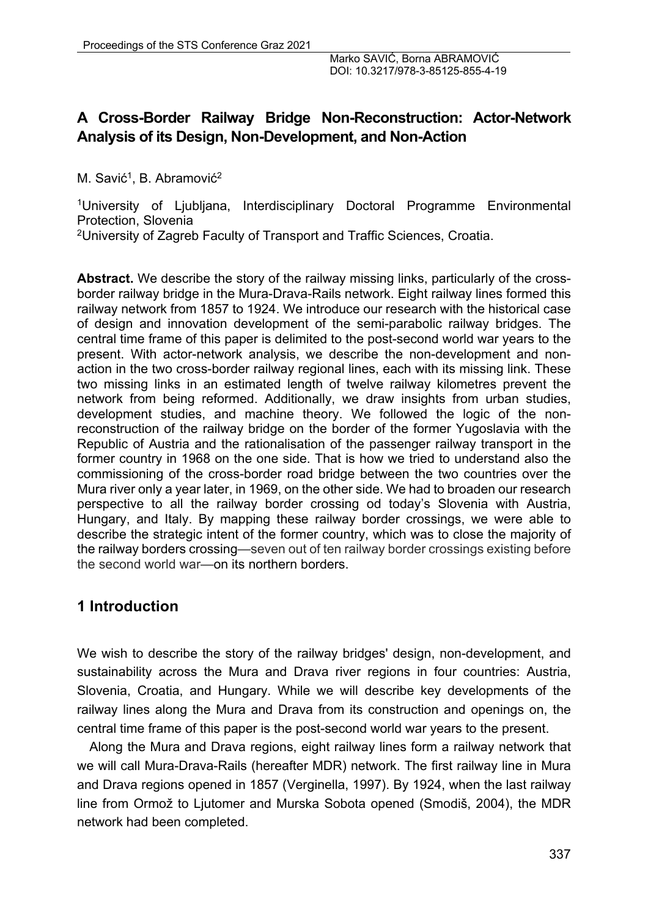# **A Cross-Border Railway Bridge Non-Reconstruction: Actor-Network Analysis of its Design, Non-Development, and Non-Action**

M. Savić<sup>1</sup>, B. Abramović<sup>2</sup>

1University of Ljubljana, Interdisciplinary Doctoral Programme Environmental Protection, Slovenia

2University of Zagreb Faculty of Transport and Traffic Sciences, Croatia.

**Abstract.** We describe the story of the railway missing links, particularly of the crossborder railway bridge in the Mura-Drava-Rails network. Eight railway lines formed this railway network from 1857 to 1924. We introduce our research with the historical case of design and innovation development of the semi-parabolic railway bridges. The central time frame of this paper is delimited to the post-second world war years to the present. With actor-network analysis, we describe the non-development and nonaction in the two cross-border railway regional lines, each with its missing link. These two missing links in an estimated length of twelve railway kilometres prevent the network from being reformed. Additionally, we draw insights from urban studies, development studies, and machine theory. We followed the logic of the nonreconstruction of the railway bridge on the border of the former Yugoslavia with the Republic of Austria and the rationalisation of the passenger railway transport in the former country in 1968 on the one side. That is how we tried to understand also the commissioning of the cross-border road bridge between the two countries over the Mura river only a year later, in 1969, on the other side. We had to broaden our research perspective to all the railway border crossing od today's Slovenia with Austria, Hungary, and Italy. By mapping these railway border crossings, we were able to describe the strategic intent of the former country, which was to close the majority of the railway borders crossing—seven out of ten railway border crossings existing before the second world war—on its northern borders.

## **1 Introduction**

We wish to describe the story of the railway bridges' design, non-development, and sustainability across the Mura and Drava river regions in four countries: Austria, Slovenia, Croatia, and Hungary. While we will describe key developments of the railway lines along the Mura and Drava from its construction and openings on, the central time frame of this paper is the post-second world war years to the present.

Along the Mura and Drava regions, eight railway lines form a railway network that we will call Mura-Drava-Rails (hereafter MDR) network. The first railway line in Mura and Drava regions opened in 1857 (Verginella, 1997). By 1924, when the last railway line from Ormož to Ljutomer and Murska Sobota opened (Smodiš, 2004), the MDR network had been completed.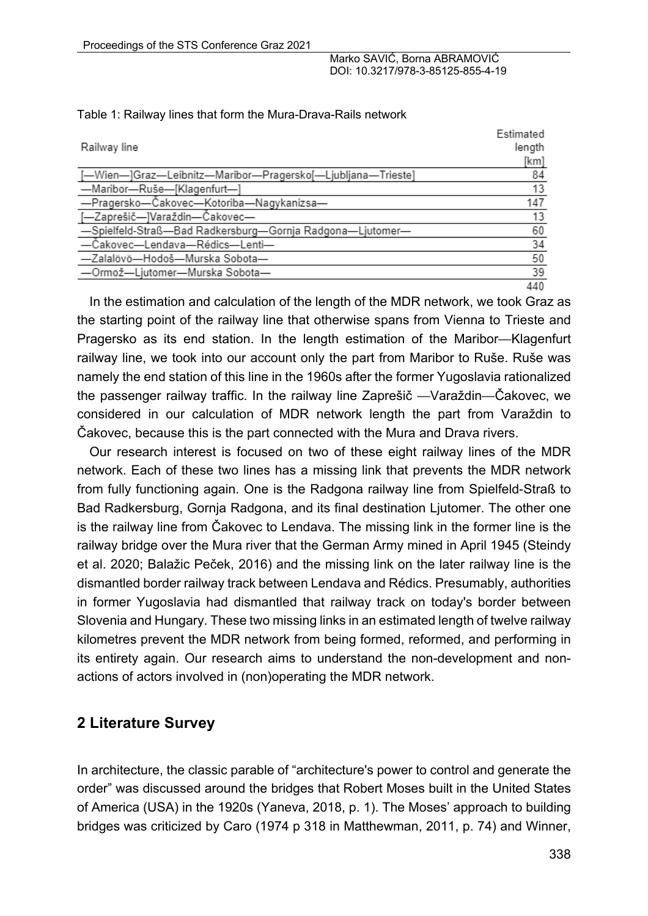|                                                             | Estimated |
|-------------------------------------------------------------|-----------|
| Railway line                                                | length    |
|                                                             | [km]      |
| [-Wien-]Graz-Leibnitz-Maribor-Pragersko[-Ljubljana-Trieste] | 84        |
| -Maribor-Ruše-[Klagenfurt-]                                 | 13        |
| -Pragersko-Čakovec-Kotoriba-Nagykanizsa-                    | 147       |
| [-Zaprešič-]Varaždin-Čakovec-                               | 13        |
| -Spielfeld-Straß-Bad Radkersburg-Gornja Radgona-Ljutomer-   | 60        |
| -Čakovec-Lendava-Rédics-Lenti-                              | 34        |
| -Zalalövö-Hodoš-Murska Sobota-                              | 50        |
| -Ormož-Ljutomer-Murska Sobota-                              | 39        |
|                                                             | 440       |

#### Table 1: Railway lines that form the Mura-Drava-Rails network

In the estimation and calculation of the length of the MDR network, we took Graz as the starting point of the railway line that otherwise spans from Vienna to Trieste and Pragersko as its end station. In the length estimation of the Maribor*—*Klagenfurt railway line, we took into our account only the part from Maribor to Ruše. Ruše was namely the end station of this line in the 1960s after the former Yugoslavia rationalized the passenger railway traffic. In the railway line Zaprešič *—*Varaždin*—*Čakovec, we considered in our calculation of MDR network length the part from Varaždin to Čakovec, because this is the part connected with the Mura and Drava rivers.

Our research interest is focused on two of these eight railway lines of the MDR network. Each of these two lines has a missing link that prevents the MDR network from fully functioning again. One is the Radgona railway line from Spielfeld-Straß to Bad Radkersburg, Gornja Radgona, and its final destination Ljutomer. The other one is the railway line from Čakovec to Lendava. The missing link in the former line is the railway bridge over the Mura river that the German Army mined in April 1945 (Steindy et al. 2020; Balažic Peček, 2016) and the missing link on the later railway line is the dismantled border railway track between Lendava and Rédics. Presumably, authorities in former Yugoslavia had dismantled that railway track on today's border between Slovenia and Hungary. These two missing links in an estimated length of twelve railway kilometres prevent the MDR network from being formed, reformed, and performing in its entirety again. Our research aims to understand the non-development and nonactions of actors involved in (non)operating the MDR network.

#### **2 Literature Survey**

In architecture, the classic parable of "architecture's power to control and generate the order" was discussed around the bridges that Robert Moses built in the United States of America (USA) in the 1920s (Yaneva, 2018, p. 1). The Moses' approach to building bridges was criticized by Caro (1974 p 318 in Matthewman, 2011, p. 74) and Winner,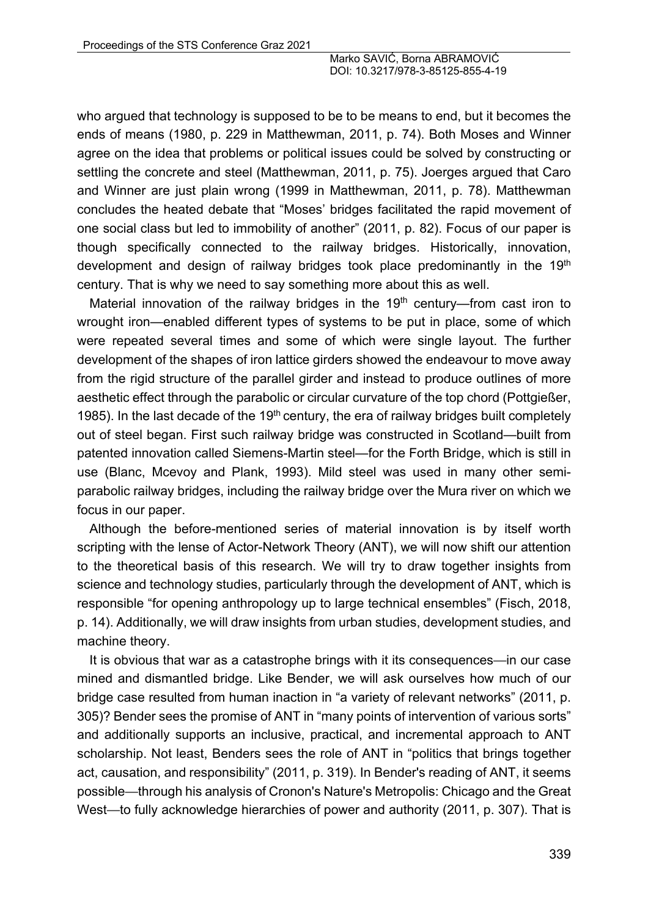who argued that technology is supposed to be to be means to end, but it becomes the ends of means (1980, p. 229 in Matthewman, 2011, p. 74). Both Moses and Winner agree on the idea that problems or political issues could be solved by constructing or settling the concrete and steel (Matthewman, 2011, p. 75). Joerges argued that Caro and Winner are just plain wrong (1999 in Matthewman, 2011, p. 78). Matthewman concludes the heated debate that "Moses' bridges facilitated the rapid movement of one social class but led to immobility of another" (2011, p. 82). Focus of our paper is though specifically connected to the railway bridges. Historically, innovation, development and design of railway bridges took place predominantly in the 19<sup>th</sup> century. That is why we need to say something more about this as well.

Material innovation of the railway bridges in the  $19<sup>th</sup>$  century—from cast iron to wrought iron—enabled different types of systems to be put in place, some of which were repeated several times and some of which were single layout. The further development of the shapes of iron lattice girders showed the endeavour to move away from the rigid structure of the parallel girder and instead to produce outlines of more aesthetic effect through the parabolic or circular curvature of the top chord (Pottgießer, 1985). In the last decade of the  $19<sup>th</sup>$  century, the era of railway bridges built completely out of steel began. First such railway bridge was constructed in Scotland—built from patented innovation called Siemens-Martin steel—for the Forth Bridge, which is still in use (Blanc, Mcevoy and Plank, 1993). Mild steel was used in many other semiparabolic railway bridges, including the railway bridge over the Mura river on which we focus in our paper.

Although the before-mentioned series of material innovation is by itself worth scripting with the lense of Actor-Network Theory (ANT), we will now shift our attention to the theoretical basis of this research. We will try to draw together insights from science and technology studies, particularly through the development of ANT, which is responsible "for opening anthropology up to large technical ensembles" (Fisch, 2018, p. 14). Additionally, we will draw insights from urban studies, development studies, and machine theory.

It is obvious that war as a catastrophe brings with it its consequences*—*in our case mined and dismantled bridge. Like Bender, we will ask ourselves how much of our bridge case resulted from human inaction in "a variety of relevant networks" (2011, p. 305)? Bender sees the promise of ANT in "many points of intervention of various sorts" and additionally supports an inclusive, practical, and incremental approach to ANT scholarship. Not least, Benders sees the role of ANT in "politics that brings together act, causation, and responsibility" (2011, p. 319). In Bender's reading of ANT, it seems possible*—*through his analysis of Cronon's Nature's Metropolis: Chicago and the Great West*—*to fully acknowledge hierarchies of power and authority (2011, p. 307). That is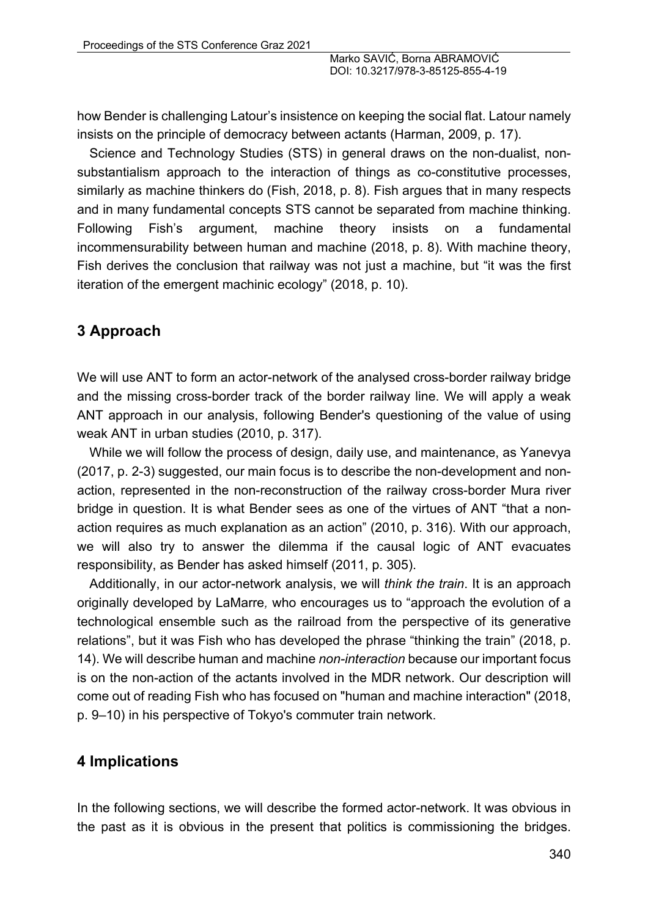how Bender is challenging Latour's insistence on keeping the social flat. Latour namely insists on the principle of democracy between actants (Harman, 2009, p. 17).

Science and Technology Studies (STS) in general draws on the non-dualist, nonsubstantialism approach to the interaction of things as co-constitutive processes, similarly as machine thinkers do (Fish, 2018, p. 8). Fish argues that in many respects and in many fundamental concepts STS cannot be separated from machine thinking. Following Fish's argument, machine theory insists on a fundamental incommensurability between human and machine (2018, p. 8). With machine theory, Fish derives the conclusion that railway was not just a machine, but "it was the first iteration of the emergent machinic ecology" (2018, p. 10).

### **3 Approach**

We will use ANT to form an actor-network of the analysed cross-border railway bridge and the missing cross-border track of the border railway line. We will apply a weak ANT approach in our analysis, following Bender's questioning of the value of using weak ANT in urban studies (2010, p. 317).

While we will follow the process of design, daily use, and maintenance, as Yanevya (2017, p. 2-3) suggested, our main focus is to describe the non-development and nonaction, represented in the non-reconstruction of the railway cross-border Mura river bridge in question. It is what Bender sees as one of the virtues of ANT "that a nonaction requires as much explanation as an action" (2010, p. 316). With our approach, we will also try to answer the dilemma if the causal logic of ANT evacuates responsibility, as Bender has asked himself (2011, p. 305).

Additionally, in our actor-network analysis, we will *think the train*. It is an approach originally developed by LaMarre*,* who encourages us to "approach the evolution of a technological ensemble such as the railroad from the perspective of its generative relations", but it was Fish who has developed the phrase "thinking the train" (2018, p. 14). We will describe human and machine *non-interaction* because our important focus is on the non-action of the actants involved in the MDR network. Our description will come out of reading Fish who has focused on "human and machine interaction" (2018, p. 9–10) in his perspective of Tokyo's commuter train network.

#### **4 Implications**

In the following sections, we will describe the formed actor-network. It was obvious in the past as it is obvious in the present that politics is commissioning the bridges.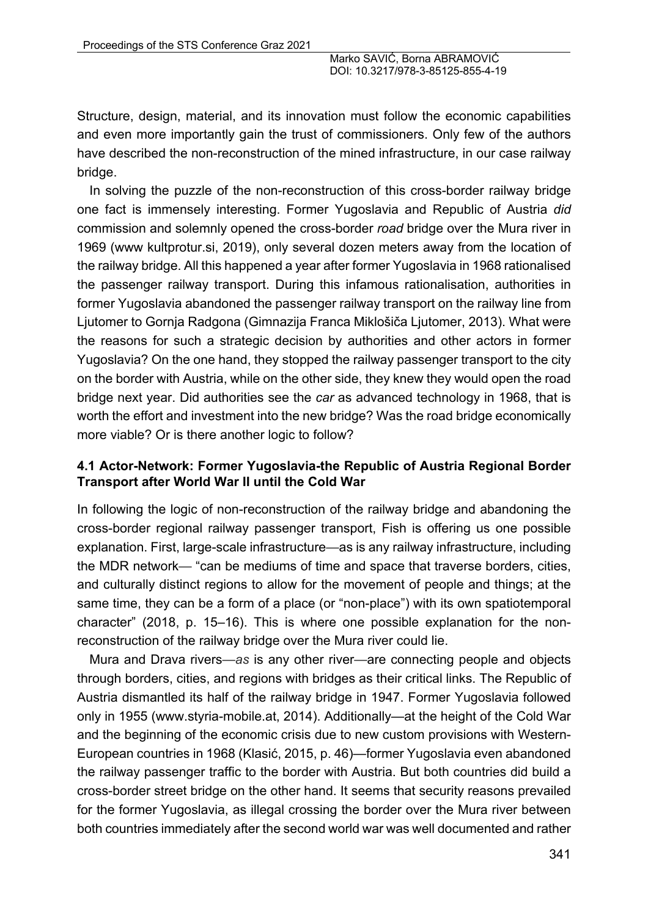Structure, design, material, and its innovation must follow the economic capabilities and even more importantly gain the trust of commissioners. Only few of the authors have described the non-reconstruction of the mined infrastructure, in our case railway bridge.

In solving the puzzle of the non-reconstruction of this cross-border railway bridge one fact is immensely interesting. Former Yugoslavia and Republic of Austria *did* commission and solemnly opened the cross-border *road* bridge over the Mura river in 1969 (www kultprotur.si, 2019), only several dozen meters away from the location of the railway bridge. All this happened a year after former Yugoslavia in 1968 rationalised the passenger railway transport. During this infamous rationalisation, authorities in former Yugoslavia abandoned the passenger railway transport on the railway line from Ljutomer to Gornja Radgona (Gimnazija Franca Miklošiča Ljutomer, 2013). What were the reasons for such a strategic decision by authorities and other actors in former Yugoslavia? On the one hand, they stopped the railway passenger transport to the city on the border with Austria, while on the other side, they knew they would open the road bridge next year. Did authorities see the *car* as advanced technology in 1968, that is worth the effort and investment into the new bridge? Was the road bridge economically more viable? Or is there another logic to follow?

#### **4.1 Actor-Network: Former Yugoslavia-the Republic of Austria Regional Border Transport after World War II until the Cold War**

In following the logic of non-reconstruction of the railway bridge and abandoning the cross-border regional railway passenger transport, Fish is offering us one possible explanation. First, large-scale infrastructure—as is any railway infrastructure, including the MDR network— "can be mediums of time and space that traverse borders, cities, and culturally distinct regions to allow for the movement of people and things; at the same time, they can be a form of a place (or "non-place") with its own spatiotemporal character" (2018, p. 15–16). This is where one possible explanation for the nonreconstruction of the railway bridge over the Mura river could lie.

Mura and Drava rivers—*as* is any other river—are connecting people and objects through borders, cities, and regions with bridges as their critical links. The Republic of Austria dismantled its half of the railway bridge in 1947. Former Yugoslavia followed only in 1955 (www.styria-mobile.at, 2014). Additionally—at the height of the Cold War and the beginning of the economic crisis due to new custom provisions with Western-European countries in 1968 (Klasić, 2015, p. 46)—former Yugoslavia even abandoned the railway passenger traffic to the border with Austria. But both countries did build a cross-border street bridge on the other hand. It seems that security reasons prevailed for the former Yugoslavia, as illegal crossing the border over the Mura river between both countries immediately after the second world war was well documented and rather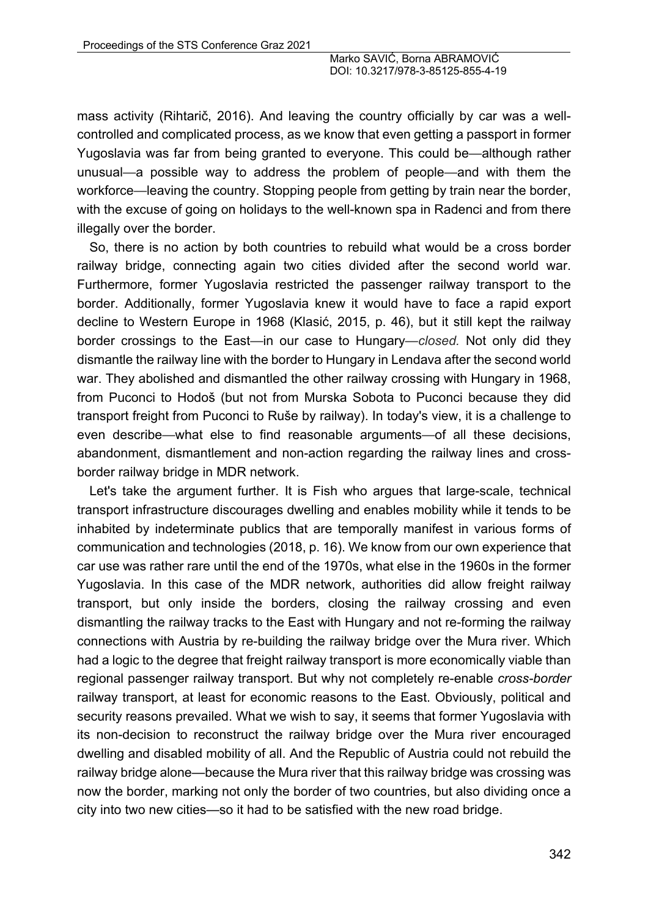mass activity (Rihtarič, 2016). And leaving the country officially by car was a wellcontrolled and complicated process, as we know that even getting a passport in former Yugoslavia was far from being granted to everyone. This could be—although rather unusual*—*a possible way to address the problem of people—and with them the workforce—leaving the country. Stopping people from getting by train near the border, with the excuse of going on holidays to the well-known spa in Radenci and from there illegally over the border.

So, there is no action by both countries to rebuild what would be a cross border railway bridge, connecting again two cities divided after the second world war. Furthermore, former Yugoslavia restricted the passenger railway transport to the border. Additionally, former Yugoslavia knew it would have to face a rapid export decline to Western Europe in 1968 (Klasić, 2015, p. 46), but it still kept the railway border crossings to the East*—*in our case to Hungary*—closed.* Not only did they dismantle the railway line with the border to Hungary in Lendava after the second world war. They abolished and dismantled the other railway crossing with Hungary in 1968, from Puconci to Hodoš (but not from Murska Sobota to Puconci because they did transport freight from Puconci to Ruše by railway). In today's view, it is a challenge to even describe—what else to find reasonable arguments—of all these decisions, abandonment, dismantlement and non-action regarding the railway lines and crossborder railway bridge in MDR network.

Let's take the argument further. It is Fish who argues that large-scale, technical transport infrastructure discourages dwelling and enables mobility while it tends to be inhabited by indeterminate publics that are temporally manifest in various forms of communication and technologies (2018, p. 16). We know from our own experience that car use was rather rare until the end of the 1970s, what else in the 1960s in the former Yugoslavia. In this case of the MDR network, authorities did allow freight railway transport, but only inside the borders, closing the railway crossing and even dismantling the railway tracks to the East with Hungary and not re-forming the railway connections with Austria by re-building the railway bridge over the Mura river. Which had a logic to the degree that freight railway transport is more economically viable than regional passenger railway transport. But why not completely re-enable *cross-border*  railway transport, at least for economic reasons to the East. Obviously, political and security reasons prevailed. What we wish to say, it seems that former Yugoslavia with its non-decision to reconstruct the railway bridge over the Mura river encouraged dwelling and disabled mobility of all. And the Republic of Austria could not rebuild the railway bridge alone—because the Mura river that this railway bridge was crossing was now the border, marking not only the border of two countries, but also dividing once a city into two new cities—so it had to be satisfied with the new road bridge.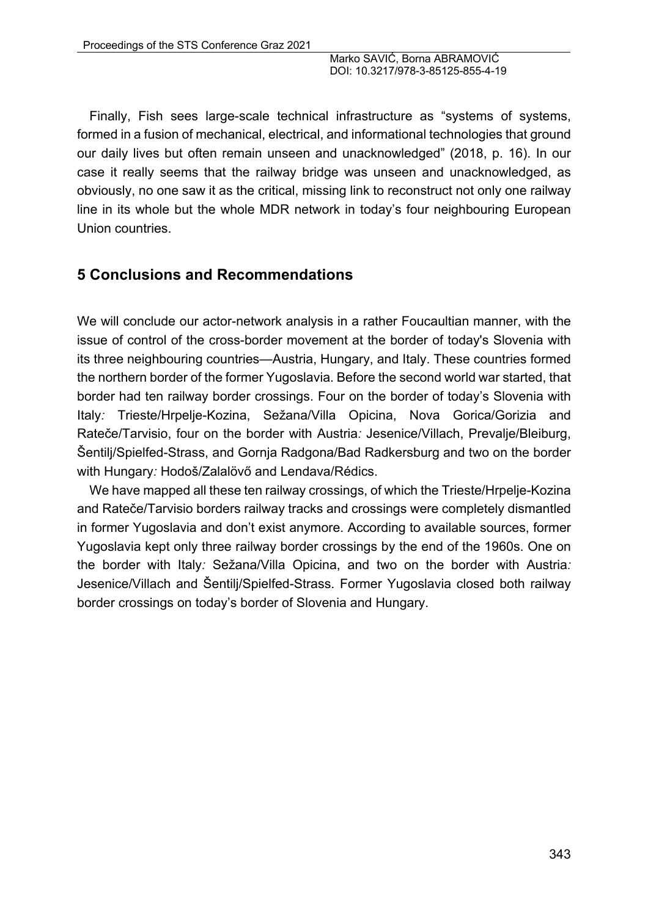Finally, Fish sees large-scale technical infrastructure as "systems of systems, formed in a fusion of mechanical, electrical, and informational technologies that ground our daily lives but often remain unseen and unacknowledged" (2018, p. 16). In our case it really seems that the railway bridge was unseen and unacknowledged, as obviously, no one saw it as the critical, missing link to reconstruct not only one railway line in its whole but the whole MDR network in today's four neighbouring European Union countries.

## **5 Conclusions and Recommendations**

We will conclude our actor-network analysis in a rather Foucaultian manner, with the issue of control of the cross-border movement at the border of today's Slovenia with its three neighbouring countries—Austria, Hungary, and Italy. These countries formed the northern border of the former Yugoslavia. Before the second world war started, that border had ten railway border crossings. Four on the border of today's Slovenia with Italy*:* Trieste/Hrpelje-Kozina, Sežana/Villa Opicina, Nova Gorica/Gorizia and Rateče/Tarvisio, four on the border with Austria*:* Jesenice/Villach, Prevalje/Bleiburg, Šentilj/Spielfed-Strass, and Gornja Radgona/Bad Radkersburg and two on the border with Hungary*:* Hodoš/Zalalövő and Lendava/Rédics.

We have mapped all these ten railway crossings, of which the Trieste/Hrpelje-Kozina and Rateče/Tarvisio borders railway tracks and crossings were completely dismantled in former Yugoslavia and don't exist anymore. According to available sources, former Yugoslavia kept only three railway border crossings by the end of the 1960s. One on the border with Italy*:* Sežana/Villa Opicina, and two on the border with Austria*:*  Jesenice/Villach and Šentilj/Spielfed-Strass. Former Yugoslavia closed both railway border crossings on today's border of Slovenia and Hungary.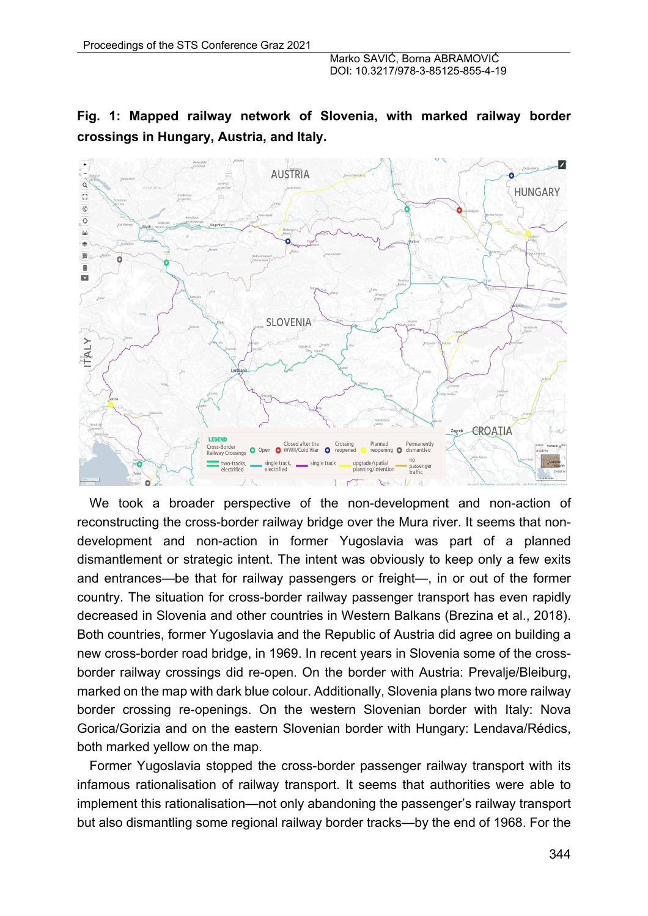## **Fig. 1: Mapped railway network of Slovenia, with marked railway border crossings in Hungary, Austria, and Italy.**



We took a broader perspective of the non-development and non-action of reconstructing the cross-border railway bridge over the Mura river. It seems that nondevelopment and non-action in former Yugoslavia was part of a planned dismantlement or strategic intent. The intent was obviously to keep only a few exits and entrances—be that for railway passengers or freight—, in or out of the former country. The situation for cross-border railway passenger transport has even rapidly decreased in Slovenia and other countries in Western Balkans (Brezina et al., 2018). Both countries, former Yugoslavia and the Republic of Austria did agree on building a new cross-border road bridge, in 1969. In recent years in Slovenia some of the crossborder railway crossings did re-open. On the border with Austria: Prevalje/Bleiburg, marked on the map with dark blue colour. Additionally, Slovenia plans two more railway border crossing re-openings. On the western Slovenian border with Italy: Nova Gorica/Gorizia and on the eastern Slovenian border with Hungary: Lendava/Rédics, both marked yellow on the map.

Former Yugoslavia stopped the cross-border passenger railway transport with its infamous rationalisation of railway transport. It seems that authorities were able to implement this rationalisation—not only abandoning the passenger's railway transport but also dismantling some regional railway border tracks—by the end of 1968. For the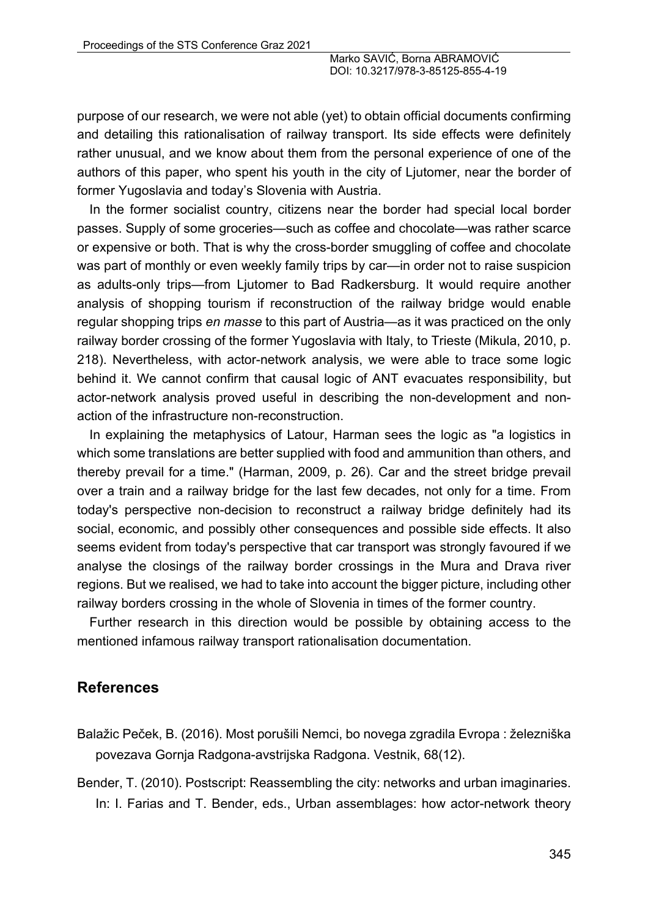purpose of our research, we were not able (yet) to obtain official documents confirming and detailing this rationalisation of railway transport. Its side effects were definitely rather unusual, and we know about them from the personal experience of one of the authors of this paper, who spent his youth in the city of Ljutomer, near the border of former Yugoslavia and today's Slovenia with Austria.

In the former socialist country, citizens near the border had special local border passes. Supply of some groceries—such as coffee and chocolate—was rather scarce or expensive or both. That is why the cross-border smuggling of coffee and chocolate was part of monthly or even weekly family trips by car—in order not to raise suspicion as adults-only trips—from Ljutomer to Bad Radkersburg. It would require another analysis of shopping tourism if reconstruction of the railway bridge would enable regular shopping trips *en masse* to this part of Austria—as it was practiced on the only railway border crossing of the former Yugoslavia with Italy, to Trieste (Mikula, 2010, p. 218). Nevertheless, with actor-network analysis, we were able to trace some logic behind it. We cannot confirm that causal logic of ANT evacuates responsibility, but actor-network analysis proved useful in describing the non-development and nonaction of the infrastructure non-reconstruction.

In explaining the metaphysics of Latour, Harman sees the logic as "a logistics in which some translations are better supplied with food and ammunition than others, and thereby prevail for a time." (Harman, 2009, p. 26). Car and the street bridge prevail over a train and a railway bridge for the last few decades, not only for a time. From today's perspective non-decision to reconstruct a railway bridge definitely had its social, economic, and possibly other consequences and possible side effects. It also seems evident from today's perspective that car transport was strongly favoured if we analyse the closings of the railway border crossings in the Mura and Drava river regions. But we realised, we had to take into account the bigger picture, including other railway borders crossing in the whole of Slovenia in times of the former country.

Further research in this direction would be possible by obtaining access to the mentioned infamous railway transport rationalisation documentation.

## **References**

- Balažic Peček, B. (2016). Most porušili Nemci, bo novega zgradila Evropa : železniška povezava Gornja Radgona-avstrijska Radgona. Vestnik, 68(12).
- Bender, T. (2010). Postscript: Reassembling the city: networks and urban imaginaries. In: I. Farias and T. Bender, eds., Urban assemblages: how actor-network theory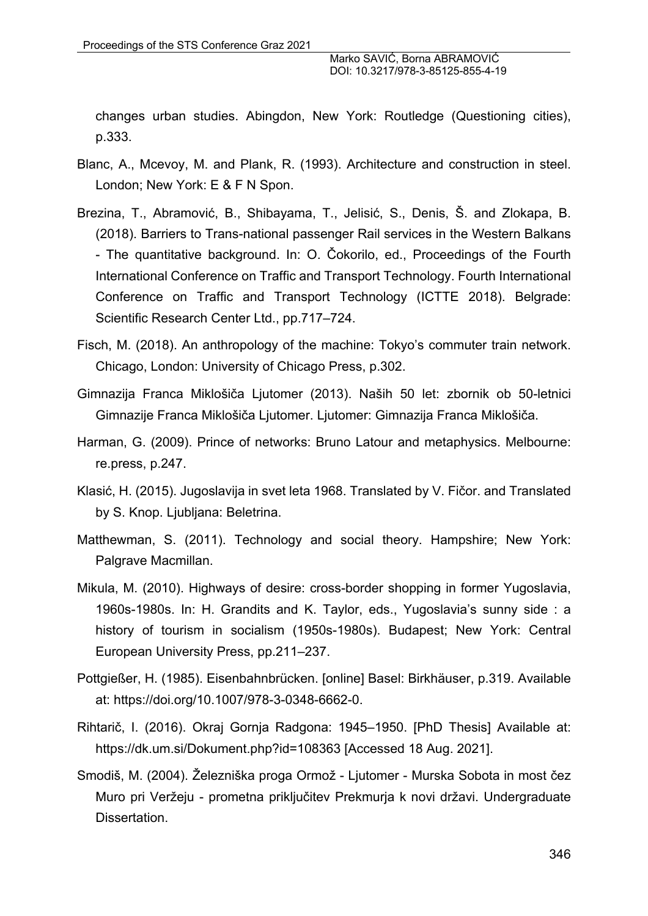changes urban studies. Abingdon, New York: Routledge (Questioning cities), p.333.

- Blanc, A., Mcevoy, M. and Plank, R. (1993). Architecture and construction in steel. London; New York: E & F N Spon.
- Brezina, T., Abramović, B., Shibayama, T., Jelisić, S., Denis, Š. and Zlokapa, B. (2018). Barriers to Trans-national passenger Rail services in the Western Balkans - The quantitative background. In: O. Čokorilo, ed., Proceedings of the Fourth International Conference on Traffic and Transport Technology. Fourth International Conference on Traffic and Transport Technology (ICTTE 2018). Belgrade: Scientific Research Center Ltd., pp.717–724.
- Fisch, M. (2018). An anthropology of the machine: Tokyo's commuter train network. Chicago, London: University of Chicago Press, p.302.
- Gimnazija Franca Miklošiča Ljutomer (2013). Naših 50 let: zbornik ob 50-letnici Gimnazije Franca Miklošiča Ljutomer. Ljutomer: Gimnazija Franca Miklošiča.
- Harman, G. (2009). Prince of networks: Bruno Latour and metaphysics. Melbourne: re.press, p.247.
- Klasić, H. (2015). Jugoslavija in svet leta 1968. Translated by V. Fičor. and Translated by S. Knop. Ljubljana: Beletrina.
- Matthewman, S. (2011). Technology and social theory. Hampshire; New York: Palgrave Macmillan.
- Mikula, M. (2010). Highways of desire: cross-border shopping in former Yugoslavia, 1960s-1980s. In: H. Grandits and K. Taylor, eds., Yugoslavia's sunny side : a history of tourism in socialism (1950s-1980s). Budapest; New York: Central European University Press, pp.211–237.
- Pottgießer, H. (1985). Eisenbahnbrücken. [online] Basel: Birkhäuser, p.319. Available at: https://doi.org/10.1007/978-3-0348-6662-0.
- Rihtarič, I. (2016). Okraj Gornja Radgona: 1945–1950. [PhD Thesis] Available at: https://dk.um.si/Dokument.php?id=108363 [Accessed 18 Aug. 2021].
- Smodiš, M. (2004). Železniška proga Ormož Ljutomer Murska Sobota in most čez Muro pri Veržeju - prometna priključitev Prekmurja k novi državi. Undergraduate Dissertation.